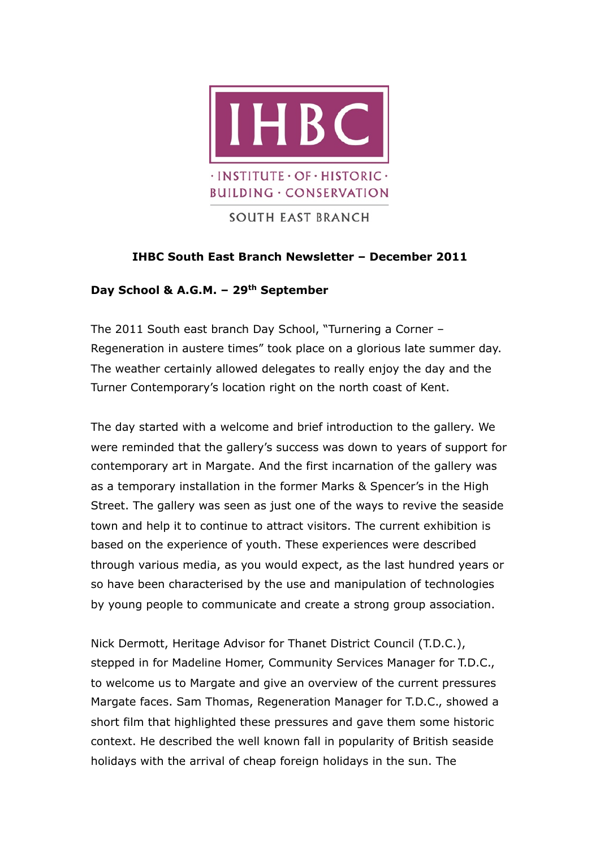

# **IHBC South East Branch Newsletter – December 2011**

## **Day School & A.G.M. – 29th September**

The 2011 South east branch Day School, "Turnering a Corner – Regeneration in austere times" took place on a glorious late summer day. The weather certainly allowed delegates to really enjoy the day and the Turner Contemporary's location right on the north coast of Kent.

The day started with a welcome and brief introduction to the gallery. We were reminded that the gallery's success was down to years of support for contemporary art in Margate. And the first incarnation of the gallery was as a temporary installation in the former Marks & Spencer's in the High Street. The gallery was seen as just one of the ways to revive the seaside town and help it to continue to attract visitors. The current exhibition is based on the experience of youth. These experiences were described through various media, as you would expect, as the last hundred years or so have been characterised by the use and manipulation of technologies by young people to communicate and create a strong group association.

Nick Dermott, Heritage Advisor for Thanet District Council (T.D.C.), stepped in for Madeline Homer, Community Services Manager for T.D.C., to welcome us to Margate and give an overview of the current pressures Margate faces. Sam Thomas, Regeneration Manager for T.D.C., showed a short film that highlighted these pressures and gave them some historic context. He described the well known fall in popularity of British seaside holidays with the arrival of cheap foreign holidays in the sun. The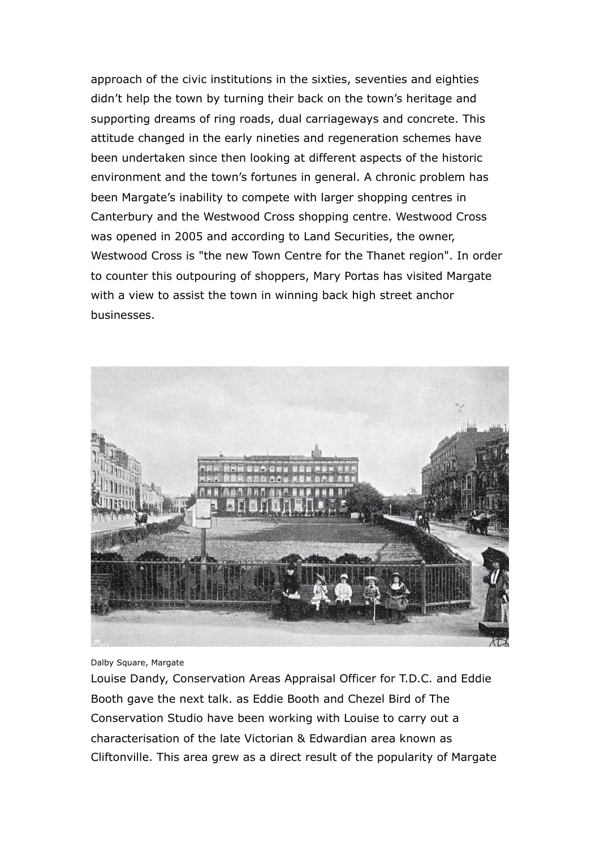approach of the civic institutions in the sixties, seventies and eighties didn't help the town by turning their back on the town's heritage and supporting dreams of ring roads, dual carriageways and concrete. This attitude changed in the early nineties and regeneration schemes have been undertaken since then looking at different aspects of the historic environment and the town's fortunes in general. A chronic problem has been Margate's inability to compete with larger shopping centres in Canterbury and the Westwood Cross shopping centre. Westwood Cross was opened in 2005 and according to Land Securities, the owner, Westwood Cross is "the new Town Centre for the Thanet region". In order to counter this outpouring of shoppers, Mary Portas has visited Margate with a view to assist the town in winning back high street anchor businesses.



Dalby Square, Margate

Louise Dandy, Conservation Areas Appraisal Officer for T.D.C. and Eddie Booth gave the next talk. as Eddie Booth and Chezel Bird of The Conservation Studio have been working with Louise to carry out a characterisation of the late Victorian & Edwardian area known as Cliftonville. This area grew as a direct result of the popularity of Margate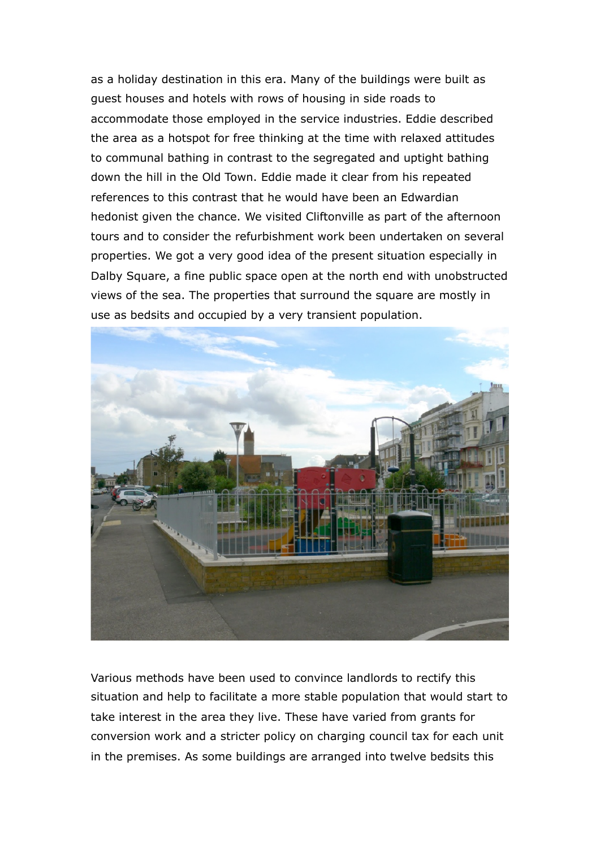as a holiday destination in this era. Many of the buildings were built as guest houses and hotels with rows of housing in side roads to accommodate those employed in the service industries. Eddie described the area as a hotspot for free thinking at the time with relaxed attitudes to communal bathing in contrast to the segregated and uptight bathing down the hill in the Old Town. Eddie made it clear from his repeated references to this contrast that he would have been an Edwardian hedonist given the chance. We visited Cliftonville as part of the afternoon tours and to consider the refurbishment work been undertaken on several properties. We got a very good idea of the present situation especially in Dalby Square, a fine public space open at the north end with unobstructed views of the sea. The properties that surround the square are mostly in use as bedsits and occupied by a very transient population.



Various methods have been used to convince landlords to rectify this situation and help to facilitate a more stable population that would start to take interest in the area they live. These have varied from grants for conversion work and a stricter policy on charging council tax for each unit in the premises. As some buildings are arranged into twelve bedsits this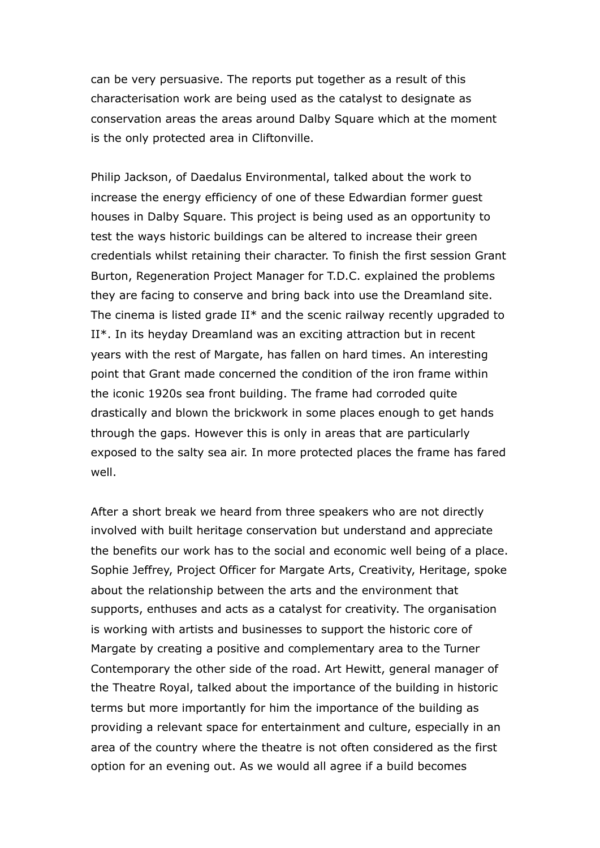can be very persuasive. The reports put together as a result of this characterisation work are being used as the catalyst to designate as conservation areas the areas around Dalby Square which at the moment is the only protected area in Cliftonville.

Philip Jackson, of Daedalus Environmental, talked about the work to increase the energy efficiency of one of these Edwardian former guest houses in Dalby Square. This project is being used as an opportunity to test the ways historic buildings can be altered to increase their green credentials whilst retaining their character. To finish the first session Grant Burton, Regeneration Project Manager for T.D.C. explained the problems they are facing to conserve and bring back into use the Dreamland site. The cinema is listed grade II\* and the scenic railway recently upgraded to II\*. In its heyday Dreamland was an exciting attraction but in recent years with the rest of Margate, has fallen on hard times. An interesting point that Grant made concerned the condition of the iron frame within the iconic 1920s sea front building. The frame had corroded quite drastically and blown the brickwork in some places enough to get hands through the gaps. However this is only in areas that are particularly exposed to the salty sea air. In more protected places the frame has fared well.

After a short break we heard from three speakers who are not directly involved with built heritage conservation but understand and appreciate the benefits our work has to the social and economic well being of a place. Sophie Jeffrey, Project Officer for Margate Arts, Creativity, Heritage, spoke about the relationship between the arts and the environment that supports, enthuses and acts as a catalyst for creativity. The organisation is working with artists and businesses to support the historic core of Margate by creating a positive and complementary area to the Turner Contemporary the other side of the road. Art Hewitt, general manager of the Theatre Royal, talked about the importance of the building in historic terms but more importantly for him the importance of the building as providing a relevant space for entertainment and culture, especially in an area of the country where the theatre is not often considered as the first option for an evening out. As we would all agree if a build becomes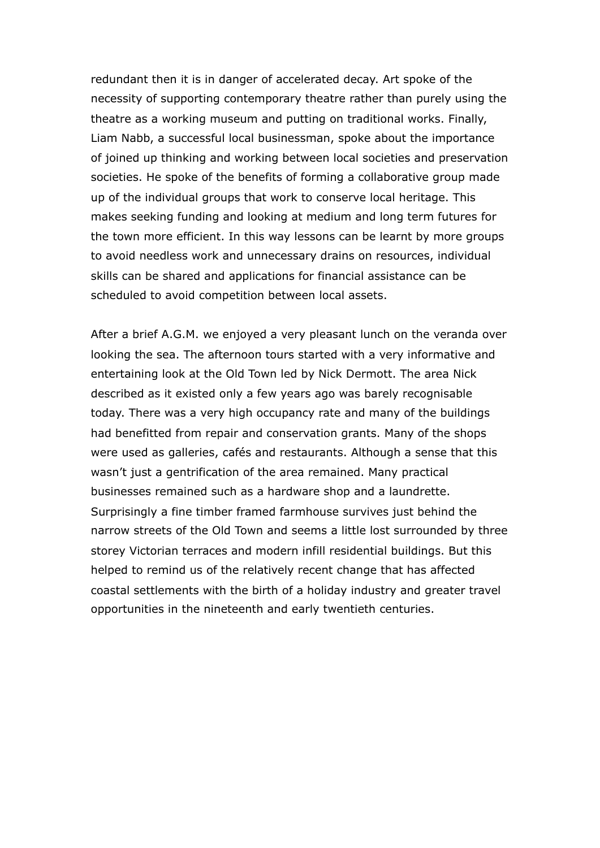redundant then it is in danger of accelerated decay. Art spoke of the necessity of supporting contemporary theatre rather than purely using the theatre as a working museum and putting on traditional works. Finally, Liam Nabb, a successful local businessman, spoke about the importance of joined up thinking and working between local societies and preservation societies. He spoke of the benefits of forming a collaborative group made up of the individual groups that work to conserve local heritage. This makes seeking funding and looking at medium and long term futures for the town more efficient. In this way lessons can be learnt by more groups to avoid needless work and unnecessary drains on resources, individual skills can be shared and applications for financial assistance can be scheduled to avoid competition between local assets.

After a brief A.G.M. we enjoyed a very pleasant lunch on the veranda over looking the sea. The afternoon tours started with a very informative and entertaining look at the Old Town led by Nick Dermott. The area Nick described as it existed only a few years ago was barely recognisable today. There was a very high occupancy rate and many of the buildings had benefitted from repair and conservation grants. Many of the shops were used as galleries, cafés and restaurants. Although a sense that this wasn't just a gentrification of the area remained. Many practical businesses remained such as a hardware shop and a laundrette. Surprisingly a fine timber framed farmhouse survives just behind the narrow streets of the Old Town and seems a little lost surrounded by three storey Victorian terraces and modern infill residential buildings. But this helped to remind us of the relatively recent change that has affected coastal settlements with the birth of a holiday industry and greater travel opportunities in the nineteenth and early twentieth centuries.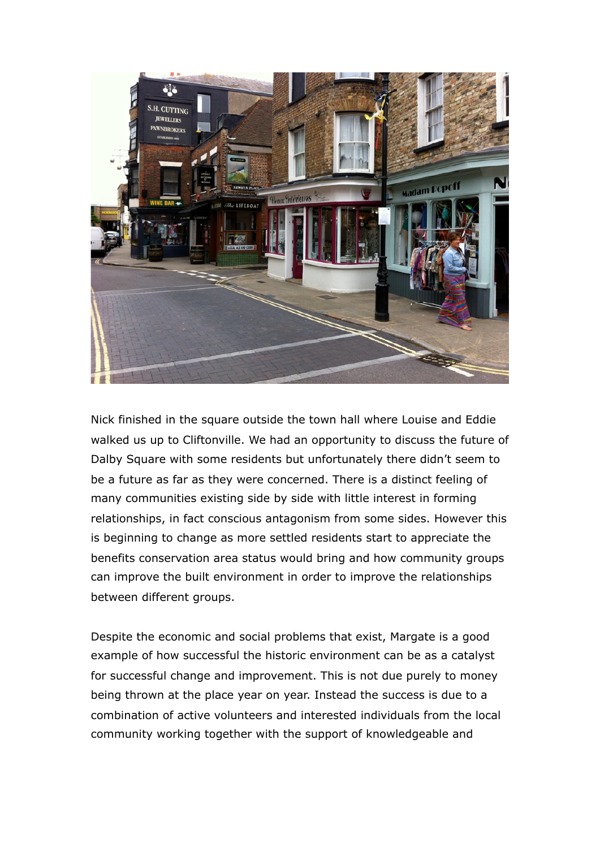

Nick finished in the square outside the town hall where Louise and Eddie walked us up to Cliftonville. We had an opportunity to discuss the future of Dalby Square with some residents but unfortunately there didn't seem to be a future as far as they were concerned. There is a distinct feeling of many communities existing side by side with little interest in forming relationships, in fact conscious antagonism from some sides. However this is beginning to change as more settled residents start to appreciate the benefits conservation area status would bring and how community groups can improve the built environment in order to improve the relationships between different groups.

Despite the economic and social problems that exist, Margate is a good example of how successful the historic environment can be as a catalyst for successful change and improvement. This is not due purely to money being thrown at the place year on year. Instead the success is due to a combination of active volunteers and interested individuals from the local community working together with the support of knowledgeable and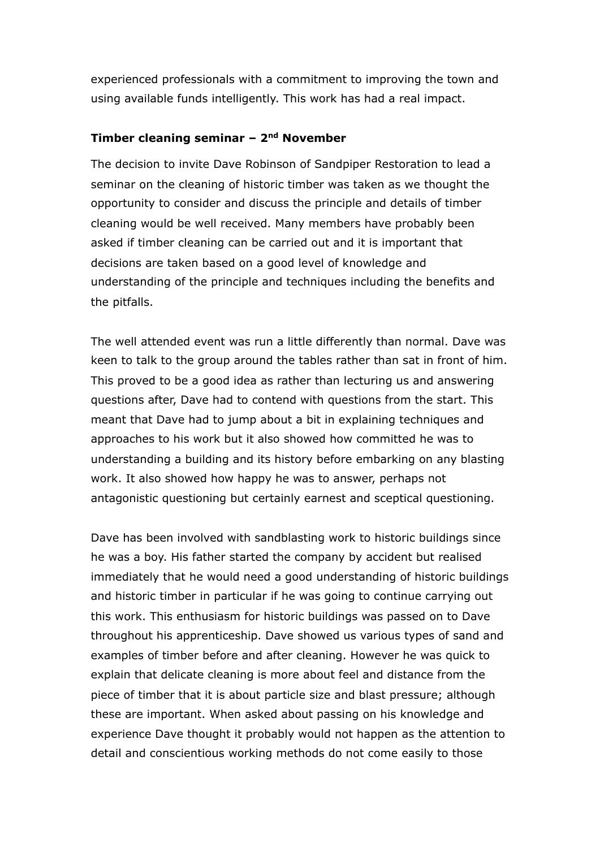experienced professionals with a commitment to improving the town and using available funds intelligently. This work has had a real impact.

### **Timber cleaning seminar – 2nd November**

The decision to invite Dave Robinson of Sandpiper Restoration to lead a seminar on the cleaning of historic timber was taken as we thought the opportunity to consider and discuss the principle and details of timber cleaning would be well received. Many members have probably been asked if timber cleaning can be carried out and it is important that decisions are taken based on a good level of knowledge and understanding of the principle and techniques including the benefits and the pitfalls.

The well attended event was run a little differently than normal. Dave was keen to talk to the group around the tables rather than sat in front of him. This proved to be a good idea as rather than lecturing us and answering questions after, Dave had to contend with questions from the start. This meant that Dave had to jump about a bit in explaining techniques and approaches to his work but it also showed how committed he was to understanding a building and its history before embarking on any blasting work. It also showed how happy he was to answer, perhaps not antagonistic questioning but certainly earnest and sceptical questioning.

Dave has been involved with sandblasting work to historic buildings since he was a boy. His father started the company by accident but realised immediately that he would need a good understanding of historic buildings and historic timber in particular if he was going to continue carrying out this work. This enthusiasm for historic buildings was passed on to Dave throughout his apprenticeship. Dave showed us various types of sand and examples of timber before and after cleaning. However he was quick to explain that delicate cleaning is more about feel and distance from the piece of timber that it is about particle size and blast pressure; although these are important. When asked about passing on his knowledge and experience Dave thought it probably would not happen as the attention to detail and conscientious working methods do not come easily to those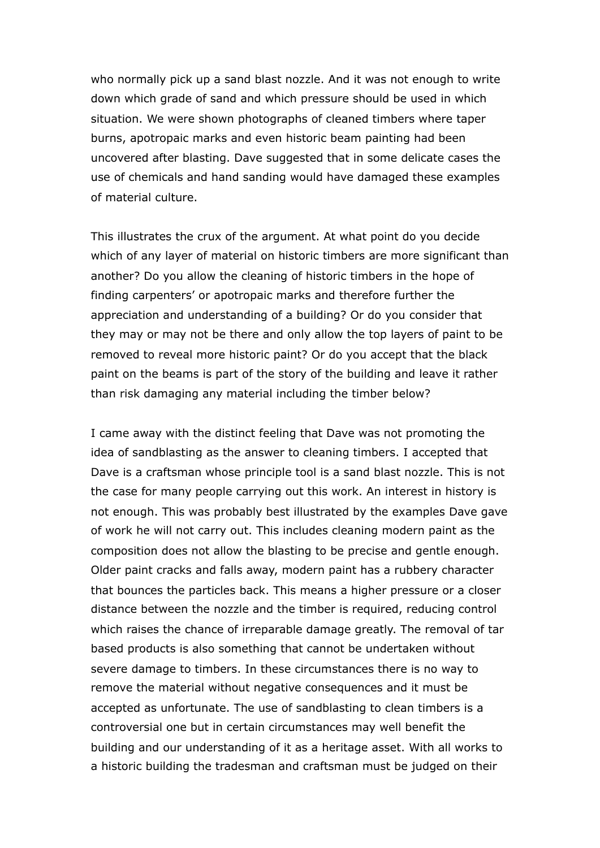who normally pick up a sand blast nozzle. And it was not enough to write down which grade of sand and which pressure should be used in which situation. We were shown photographs of cleaned timbers where taper burns, apotropaic marks and even historic beam painting had been uncovered after blasting. Dave suggested that in some delicate cases the use of chemicals and hand sanding would have damaged these examples of material culture.

This illustrates the crux of the argument. At what point do you decide which of any layer of material on historic timbers are more significant than another? Do you allow the cleaning of historic timbers in the hope of finding carpenters' or apotropaic marks and therefore further the appreciation and understanding of a building? Or do you consider that they may or may not be there and only allow the top layers of paint to be removed to reveal more historic paint? Or do you accept that the black paint on the beams is part of the story of the building and leave it rather than risk damaging any material including the timber below?

I came away with the distinct feeling that Dave was not promoting the idea of sandblasting as the answer to cleaning timbers. I accepted that Dave is a craftsman whose principle tool is a sand blast nozzle. This is not the case for many people carrying out this work. An interest in history is not enough. This was probably best illustrated by the examples Dave gave of work he will not carry out. This includes cleaning modern paint as the composition does not allow the blasting to be precise and gentle enough. Older paint cracks and falls away, modern paint has a rubbery character that bounces the particles back. This means a higher pressure or a closer distance between the nozzle and the timber is required, reducing control which raises the chance of irreparable damage greatly. The removal of tar based products is also something that cannot be undertaken without severe damage to timbers. In these circumstances there is no way to remove the material without negative consequences and it must be accepted as unfortunate. The use of sandblasting to clean timbers is a controversial one but in certain circumstances may well benefit the building and our understanding of it as a heritage asset. With all works to a historic building the tradesman and craftsman must be judged on their